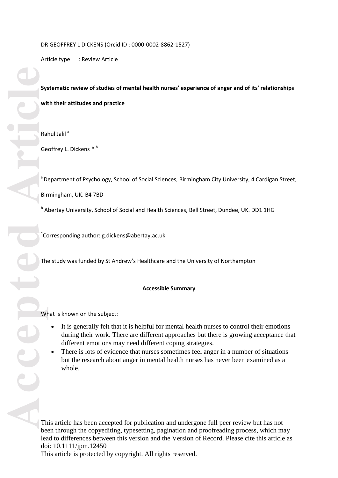Article type : Review Article

# **Article Contract Contract Contract Contract Contract Contract Contract Contract Contract Contract Contract Contract Contract Contract Contract Contract Contract Contract Contract Contract Contract Contract Contract Contra Systematic review of studies of mental health nurses' experience of anger and of its' relationships with their attitudes and practice**

Rahul Jalil<sup>a</sup>

Geoffrey L. Dickens \*  $b$ 

<sup>a</sup> Department of Psychology, School of Social Sciences, Birmingham City University, 4 Cardigan Street,

Birmingham, UK. B4 7BD

**b** Abertay University, School of Social and Health Sciences, Bell Street, Dundee, UK. DD1 1HG

\* Corresponding author: g.dickens@abertay.ac.uk

The study was funded by St Andrew's Healthcare and the University of Northampton

# **Accessible Summary**

What is known on the subject:

- It is generally felt that it is helpful for mental health nurses to control their emotions during their work. There are different approaches but there is growing acceptance that different emotions may need different coping strategies.
- There is lots of evidence that nurses sometimes feel anger in a number of situations but the research about anger in mental health nurses has never been examined as a whole.

This article has been accepted for publication and undergone full peer review but has not been through the copyediting, typesetting, pagination and proofreading process, which may lead to differences between this version and the Version of Record. Please cite this article as doi: 10.1111/jpm.12450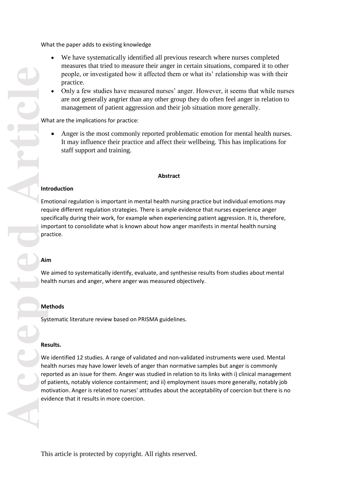What the paper adds to existing knowledge

- We have systematically identified all previous research where nurses completed measures that tried to measure their anger in certain situations, compared it to other people, or investigated how it affected them or what its' relationship was with their practice.
- Only a few studies have measured nurses' anger. However, it seems that while nurses are not generally angrier than any other group they do often feel anger in relation to management of patient aggression and their job situation more generally.

What are the implications for practice:

 Anger is the most commonly reported problematic emotion for mental health nurses. It may influence their practice and affect their wellbeing. This has implications for staff support and training.

# **Abstract**

# **Introduction**

Emotional regulation is important in mental health nursing practice but individual emotions may require different regulation strategies. There is ample evidence that nurses experience anger specifically during their work, for example when experiencing patient aggression . It is, therefore, important to consolidate what is known about how anger manifests in mental health nursing practice.

# **Aim**

We aimed to systematically identify, evaluate, and synthesise results from studies about mental health nurses and anger , where anger was measured objectively .

# **Methods**

Systematic literature review based on PRISMA guidelines .

# **Results.**

We identified 12 studies. A range of validated and non-validated instruments were used. Mental health nurses may have lower levels of anger than normative samples but anger is commonly reported as an issue for them. Anger was studied in relation to its links with i) clinical management of patients, notably violence containment; and ii) employment issues more generally, notably job motivation . Anger is related to nurses' attitudes about the acceptability of coercion but there is no evidence that it results in more coercion.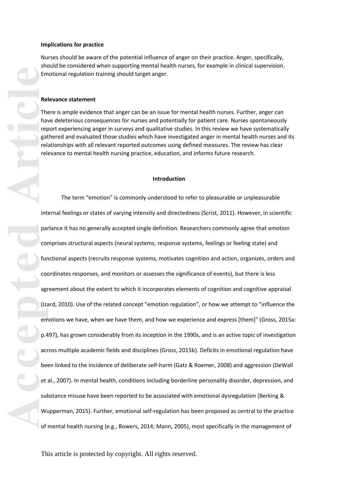### **Implications for practice**

Nurses should be aware of the potential influence of anger on their practice. Anger , specifically, should be considered when supporting mental health nurses, for example in clinical supervision. Emotional regulation training should target anger.

### **Relevance statement**

There is ample evidence that anger can be an issue for mental health nurses. Further, anger can have deleterious consequences for nurses and potentially for patient care. Nurses spontaneously report experiencing anger in surveys and qualitative studies. In this review we have systematically gathered and evaluated those studies which have investigated anger in mental health nurses and its relationships with all relevant reported outcomes using defined measures. The review has clear relevance to mental health nursing practice, education, and informs future research.

### **Introduction**

**Economic Ref**<br> **Accepted**<br> **Article**<br> **Article**<br> **Accepted**<br> **Accepted**<br> **Accepted**<br> **Accepted**<br> **Accepted**<br> **Accepted**<br> **Article**<br> **Accepted**<br> **Accepted**<br> **Accepted**<br> **Accepted**<br> **Accepted**<br> **Accepted**<br> **Accepted**<br> **Acce** The term "emotion" is commonly understood to refer to pleasurable or unpleasurable internal feelings or states of varying intensity and directedness (Scrist, 2011). However, in scientific parlance it has no generally accepted single definition. Researchers commonly agree that emotion comprises structural aspects (neural systems, response systems, feelings or feeling state) and functional aspects (recruits response systems, motivates cognition and action, organizes, orders and coordinates responses, and monitors or assesses the significance of events), but there is less agreement about the extent to which it incorporates elements of cognition and cognitive appraisal (Izard, 2010). Use of the related concept "emotion regulation", or how we attempt to "influence the emotions we have, when we have them, and how we experience and express [them]" (Gross, 2015 a: p.497), has grown considerably from its inception in the 1990s, and is an active topic of investigation across multiple academic fields and disciplines (Gross, 2015 b). Deficits in emotional regulation have been linked to the incidence of deliberate self-harm (Gatz & Roemer, 2008) and aggression (DeWall et al., 2007). In mental health, conditions including borderline personality disorder, depression, and substance misuse have been reported to be associated with emotional dysregulation (Berking & Wupperman, 2015). Further, emotional self-regulation has been proposed as central to the practice of mental health nursing (e.g., Bowers, 2014; Mann, 2005), most specifically in the management of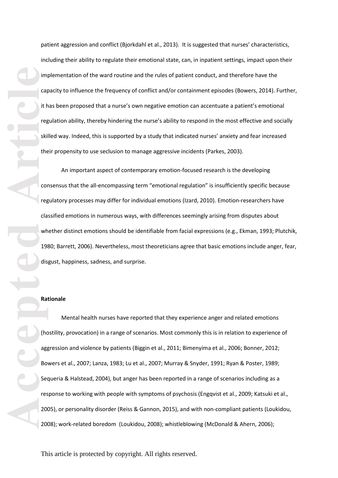patient aggression and conflict (Bjorkdahl et al., 2013). It is suggested that nurses' characteristics, including their ability to regulate their emotional state, can, in inpatient settings, impact upon their implementation of the ward routine and the rules of patient conduct, and therefore have the capacity to influence the frequency of conflict and/or containment episodes (Bowers, 2014). Further, it has been proposed that a nurse's own negative emotion can accentuate a patient's emotional regulation ability, thereby hindering the nurse's ability to respond in the most effective and socially skilled way. Indeed, this is supported by a study that indicated nurses' anxiety and fear increased their propensity to use seclusion to manage aggressive incidents (Parkes, 2003).

An important aspect of contemporary emotion -focused research is the developing consensus that the all -encompassing term "emotional regulation" is insufficiently specific because regulatory processes may differ for individual emotions (Izard, 2010). Emotion -researchers have classified emotions in numerous ways, with differences seemingly arising from disputes about whether distinct emotions should be identifiable from facial expressions (e.g., Ekman, 1993; Plutchik, 1980; Barrett, 2006). Nevertheless, most theoreticians agree that basic emotions include anger, fear, disgust, happiness, sadness, and surprise.

### **Rationale**

Accepted **Articles Articles 1988**<br>
Article Corresponding the Skill the Corresponding the Skill the Corresponding the Skill the Corresponding the Skill the Corresponding to the Corresponding to the Corresponding to the Co Mental health nurses have reported that they experience anger and related emotions (hostility, provocation) in a range of scenarios. Most commonly this is in relation to experience of aggression and violence by patients (Biggin et al., 2011; Bimenyima et al., 2006; Bonner, 2012; Bowers et al., 2007; Lanza, 1983; Lu et al., 2007; Murray & Snyder, 1991; Ryan & Poster, 1989; Sequeria & Halstead, 2004), but anger has been reported in a range of scenarios including as a response to working with people with symptoms of psychosis (Engqvist et al., 2009; Katsuki et al ., 2005), or personality disorder (Reiss & Gannon, 2015), and with non -compliant patients (Loukidou, 2008); work -related boredom (Loukidou, 2008); whistleblowing (McDonald & Ahern, 2006);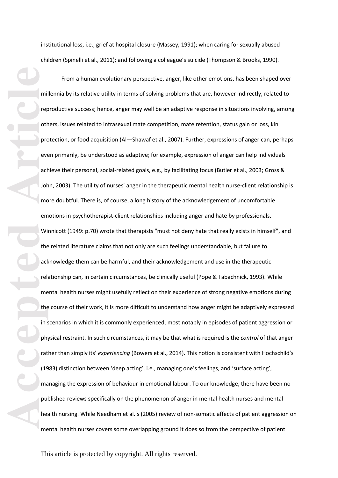institutional loss, i.e., grief at hospital closure (Massey, 1991); when caring for sexually abused children (Spinelli et al., 2011); and following a colleague's suicide (Thompson & Brooks, 1990).

**Accepted Article** From a human evolutionary perspective, anger, like other emotions, has been shaped over millennia by it s relative utility in terms of solving problems that are, however indirectly, related to reproductive success; hence, anger may well be an adaptive response in situations involving, among others, issues related to intrasexual mate competition, mate retention, status gain or loss, kin protection, or food acquisition (Al —Shawaf et al., 2007). Further, expressions of anger can, perhaps even primarily, be understood as adaptive; for example, expression of anger can help individuals achieve their personal, social-related goals, e.g., by facilitating focus (Butler et al., 2003; Gross & John, 2003). The utility of nurses' anger in the therapeutic mental health nurse -client relationship is more doubtful. There is, of course, a long history of the acknowledgement of uncomfortable emotions in psychotherapist-client relationships including anger and hate by professionals. Winnicott (1949: p.70) wrote that therapists "must not deny hate that really exists in himself", and the related literature claims that not only are such feelings understandable, but failure to acknowledge them can be harmful, and their acknowledgement and use in the therapeutic relationship can, in certain circumstances, be clinically useful (Pope & Tabachnick, 1993). While mental health nurses might usefully reflect on their experience of strong negative emotions during the course of their work, it is more difficult to understand how anger might be adaptively expressed in scenarios in which it is commonly experienced, most notably in episodes of patient aggression or physical restraint. In such circumstances, it may be that what is required is the *control* of that anger rather than simply its' *experiencing* (Bowers et al., 2014). This notion is consistent with Hochschild's (1983) distinction between 'deep acting', i.e., managing one's feelings, and 'surface acting', managing the expression of behaviour in emotional labour . To our knowledge, there have been no published reviews specifically on the phenomenon of anger in mental health nurse s and mental health nursing . While Needham et al.'s (2005) review of non -somatic affects of patient aggression on mental health nurses covers some overlapping ground it does so from the perspective of patient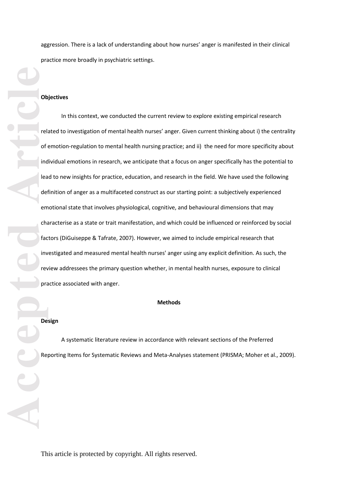aggression. There is a lack of understanding about how nurses' anger is manifested in their clinical practice more broadly in psychiatric settings.

# **Objectives**

**Example 19** and  $\frac{1}{2}$  are the set of  $\frac{1}{2}$  are the set of  $\frac{1}{2}$  are the set of  $\frac{1}{2}$  are the set of  $\frac{1}{2}$  are the set of  $\frac{1}{2}$  are the set of  $\frac{1}{2}$  are the set of  $\frac{1}{2}$  are the set of  $\frac{1$ In this context , we conducted the current review to explore existing empirical research related to investigation of mental health nurses' anger. Given current thinking about i) the centrality of emotion -regulation to mental health nursing practice; and ii) the need for more specificity about individual emotions in research, we anticipate that a focus on anger specifically has the potential to lead to new insights for practice, education, and research in the field. We have used the following definition of anger as a multifaceted construct as our starting point: a subjectively experienced emotional state that involves physiological, cognitive, and behavioural dimensions that may characterise as a state or trait manifestation, and which could be influenced or reinforced by social factors (DiGuiseppe & Tafrate, 2007) . However, we aimed to include empirical research that investigated and measured mental health nurses' anger using any explicit definition. As such, the review addressees the primary question whether , in mental health nurses, exposure to clinical practice associated with anger.

### **Method s**

# **Design**

A systematic literature review in accordance with relevant sections of the Preferred Reporting Items for Systematic Reviews and Meta -Analyses statement (PRISMA; Moher et al ., 2009).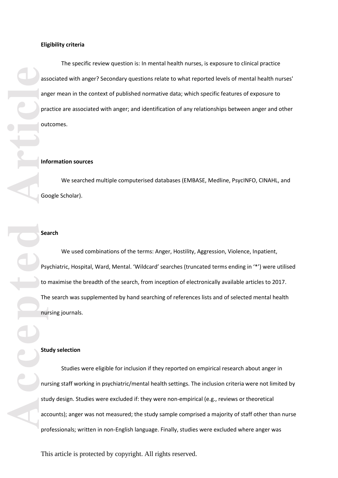The specific review question is: In mental health nurses, is exposure to clinical practice associated with anger? Secondary questions relate to what reported levels of mental health nurses' anger mean in the context of published normative data; which specific features of exposure to practice are associated with anger; and identification of any relationships between anger and other outcomes.

### **Information sources**

We searched multiple computerised databases (EMBASE, Medline, PsycINFO, CINAHL, and Google Scholar ) .

# **Search**

We used combinations of the terms: Anger, Hostility, Aggression, Violence, Inpatient, Psychiatric, Hospital, Ward, Mental. 'Wildcard' searches (truncated terms ending in '\*') were utilised to maximise the breadth of the search, from inception of electronically available articles to 2017. The search was supplemented by hand searching of references lists and of selected mental health nursing journals .

# **Study selection**

**Accepted Accepted Article**<br> **Accepted Article**<br> **Accepted Article**<br> **Article**<br> **Article**<br> **Article**<br> **Article**<br> **Article**<br> **Article**<br> **Article**<br> **Article**<br> **Article**<br> **Article**<br> **Article**<br> **Article**<br> **Article**<br> **A** Studies were eligible for inclusion if they reported on empirical research about anger in nursing staff working in psychiatric/mental health settings. The inclusion criteria were not limited by study design. Studies were excluded if: they were non -empirical (e.g., reviews or theoretical accounts); anger was not measured; the study sample comprised a majority of staff other than nurse professionals; written in non -English language. Finally, studies were excluded where anger was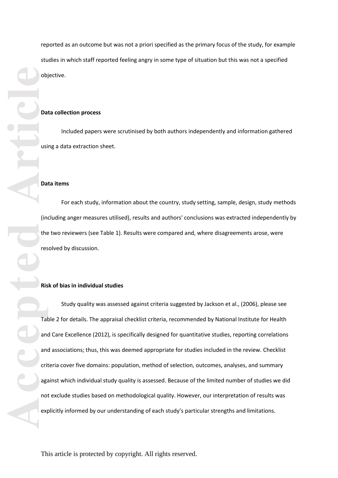reported as an outcome but was not a priori specified as the primary focus of the study, for example studies in which staff reported feeling angry in some type of situation but this was not a specified objective.

### **Data collection process**

Included papers were scrutinised by both authors independently and information gathered using a data extraction sheet.

# **Data items**

For each study, information about the country, study setting, sample, design, study methods (including anger measures utilised), results and authors' conclusions was extracted independently by the two reviewers (see Table 1). Results were compared and, where disagreements arose, were resolved by discussion.

# **Risk of bias in individual studies**

**But the contract of the contract of the contract of the contract of the contract of the contract of the contract of the contract of the contract of the contract of the contract of the contract of the contract of the contr** Study quality was assessed against criteria suggested by Jack son et al. , (2006) , please see Table 2 for details. The appraisal checklist criteria, recommended by National Institute for Health and Care Excellence (2012), is specifically designed for quantitative studies, reporting correlations and associations; thus, this was deemed appropriate for studies included in the review. Checklist criteria cover five domains: population, method of selection, outcomes, analyses, and summary against which individual study quality is assessed. Because of the limited number of studies we did not exclude studies based on methodological quality. However, our interpretation of results was explicitly informed by our understanding of each study's particular strengths and limitations.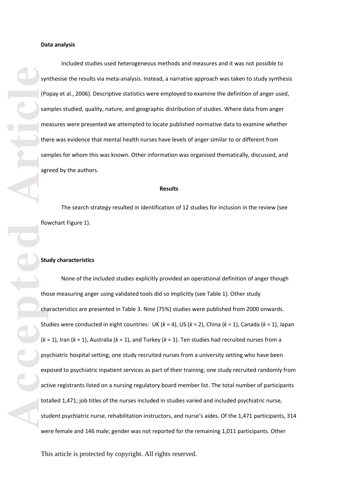Included studies used heterogeneous methods and measures and it was not possible to synthesise the results via meta-analysis. Instead, a narrative approach was taken to study synthesis (Popay et al ., 2006). Descriptive statistics were employed to examine the definition of anger used, samples studied, quality, nature, and geographic distribution of studies. Where data from anger measures were presented we attempted to locate published normative data to examine whether there was evidence that mental health nurses have levels of anger similar to or different from samples for whom this was known. Other information was organised thematically, discussed, and agreed by the authors.

### **Results**

The search strategy resulted in identification of 1 2 studies for inclusion in the review (see flowchart Figure 1 ) .

### **Study characteristics**

Syr (Pc<br>
Sar me<br>
the sar me<br>
the sar age<br>
article<br>
flock<br> **Article**<br>
Stu<br>
(k:<br>
ps<sub>)</sub><br>
exp<br>
act<br>
at tot<br>
stu<br>
the cha None of the included studies explicitly provided an operational definition of anger though those measuring anger using validated tools did so implicitly (see Table 1). Other study characteristics are presented in Table 3. Nine (7 5%) studies were published from 2000 onwards. Studies were conducted in eight countries: UK (k = 4), US (k = 2), China (k = 1), Canada (k = 1), Japan  $(k = 1)$ , Iran  $(k = 1)$ , Australia  $(k = 1)$ , and Turkey  $(k = 1)$ . Ten studies had recruited nurses from a psychiatric hospital setting; one stud y recruited nurses from a university setting who have been exposed to psychiatric inpatient services as part of their training; one study recruited randomly from active registrants listed on a nursing regulatory board member list. The total number of participants totalled 1,471; job titles of the nurses included in studies varied and included psychiatric nurse, student psychiatric nurse, rehabilitation instructors, and nurse's aides. Of the 1,471 participants, 314 were female and 146 male; gender was not reported for the remaining 1,011 participants. Other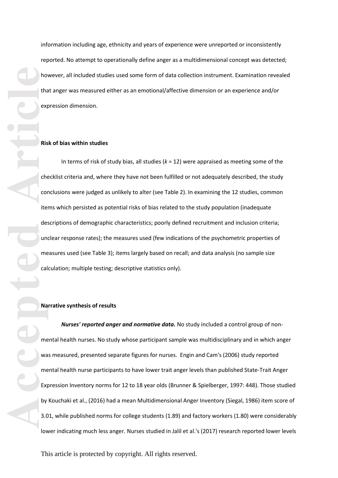information including age, ethnicity and years of experience were unreported or inconsistently reporte d. No attempt to operationally define anger as a multidimensional concept was detected; however, all included studies used some form of data collection instrument. Examination revealed that anger was measured either as an emotional/affective dimension or an experience and/or expression dimension.

### **Risk of bias within studies**

In terms of risk of study bias, all studies (*k* = 1 2) were appraised as meeting some of the checklist criteria and, where they have not been fulfilled or not adequately described, the study conclusions were judged as unlikely to alter (see Table 2). In examining the 1 2 studies, common items which persisted as potential risks of bias related to the study population (inadequate descriptions of demographic characteristics; poorly defined recruitment and inclusion criteria; unclear response rates); the measures used (few indications of the psychometric properties of measures used (see Table 3); items largely based on recall; and data analysis (no sample size calculation; multiple testing; descriptive statistics only).

### **Narrative synthesis of results**

**Accepted Articles** <br> **Article**<br> **Article**<br> **Article**<br> **Article**<br> **Article**<br> **Article**<br> **Article**<br> **Article**<br> **Article**<br> **Article**<br> **Article**<br> **Article**<br> **Article**<br> **Article**<br> **Article**<br> **Article**<br> **Article**<br> **Article** Nurses' reported anger and normative data. No study included a control group of nonmental health nurses. No study whose participant sample was multidisciplinary and in which anger was measured, presented separate figures for nurses. Engin and Cam's (2006) study reported mental health nurse participants to have lower trait anger levels than published State -Trait Anger Expression Inventory norms for 12 to 18 year olds (Brunner & Spielberger, 1997: 448). Those studied by Kouchaki et al. , (2016) had a mean Multidimensional Anger Inventory (Siegal, 1986) item score of 3.01, while published norms for college students (1.89) and factory workers (1.80) were considerably lower indicating much less anger. Nurses studied in Jalil et al.'s (2017) research reported lower levels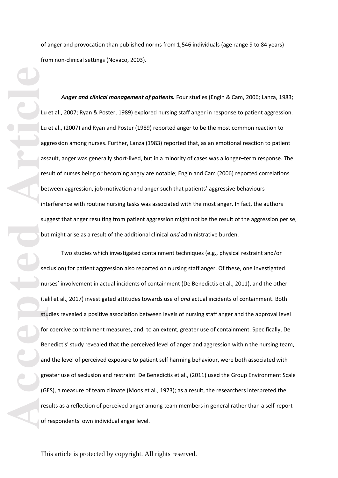of anger and provocation than published norms from 1,546 individuals (age range 9 to 84 years) from non -clinical settings (Novaco, 2003) .

*Anger and clinical management of patients .* Four studies (Engin & Cam, 2006; Lanza, 1983; Lu et al., 2007; Ryan & Poster, 1989) explored nursing staff anger in response to patient aggression. Lu et al . , (2007) and Ryan and Poster (1989) reported anger to be the most common reaction to aggression among nurses. Further, Lanza (1983) reported that, as an emotional reaction to patient assault, anger was generally short-lived, but in a minority of cases was a longer-term response. The result of nurses being or becoming angry are notable; Engin and Cam (2006) reported correlation s between aggression, job motivation and anger such that patients' aggressive behaviours interference with routine nursing tasks was associated with the most anger. In fact, the authors suggest that anger resulting from patient aggression might not be the result of the aggression per se,

**Accepted**<br> **Article**<br> **Article**<br> **Article**<br> **Article**<br> **Article**<br> **Article**<br> **Article**<br> **Article**<br> **Article**<br> **Article**<br> **Article**<br> **Article**<br> **Article**<br> **Article**<br> **Article**<br> **Article**<br> **Article**<br> **Article**<br> **Article**<br> but might arise as a result of the additional clinical *and* administrative burden.<br>Two studies which investigated containment techniques (e.g., physical restraint and/or<br>seclusion) for patient aggression also reported on nurses' involvement in actual incidents of containment (De Benedictis et al., 2011), and the other (Jalil et al ., 2017) investigated attitudes towards use of *and* actual incidents of containment. Both studies revealed a positive association between levels of nursing staff anger and the approval level for coercive containment measures, and, to an extent, greater use of containment. Specifically, De Benedictis' study revealed that the perceived level of anger and aggression within the nursing team, and the level of perceived exposure to patient self harming behaviour, were both associated with greater use of seclusion and restraint. De Benedictis et al., (2011) used the Group Environment Scale (GES), a measure of team climate (Moos et al., 1973); as a result, the researchers interpreted the results as a reflection of perceived anger among team members in general rather than a self -report of respondents' own individual anger level.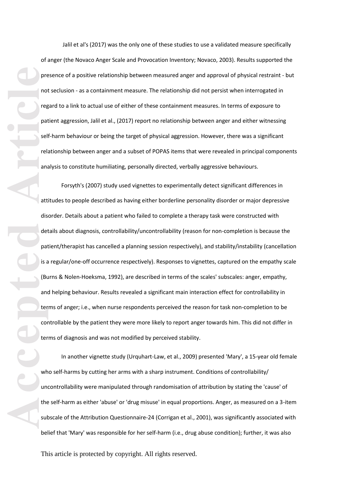Jalil et al's (2017) was the only one of these studies to use a validated measure specifically of anger (the Novaco Anger Scale and Provocation Inventory; Novaco, 2003 ). Results supported the presence of a positive relationship between measured anger and approval of physical restraint - but not seclusion - as a containment measure. The relationship did not persist when interrogated in regard to a link to actual use of either of these containment measures. In terms of exposure to patient aggression, Jalil et al., (2017) report no relationship between anger and either witnessing self -harm behaviour or being the target of physical aggression. However, there was a significant relationship between anger and a subset of POPAS items that were revealed in principal components analysis to constitute humiliating, personally directed, verbally aggressive behaviours.

pre not mean of the particle of the particle of the particle of the particle of the particle of the particle of the substitute substitute of the substitute of the substitute of the substitute of the substitute of the subst Forsyth's (2007) study used vignettes to experimentally detect significant differences in attitudes to people described as having either borderline personality disorder or major depressive disorder. Details about a patient who failed to complete a therapy task were constructed with details about diagnosis, controllability/uncontrollability (reason for non -completion is because the patient/therapist has cancelled a planning session respectively), and stability/instability (cancellation is a regular/one-off occurrence respectively). Responses to vignettes, captured on the empathy scale (Burns & Nolen -Hoeksma, 1992), are described in terms of the scale s' subscales: anger, empathy, and helping behaviour. Results revealed a significant main interaction effect for controllability in terms of anger; i.e., when nurse respondents perceived the reason for task non -completion to be controllable by the patient they were more likely to report anger towards him. This did not differ in terms of diagnosis and was not modified by perceived stability.

In another vignette study (Urquhart -Law, et al., 2009) presented 'Mary', a 15 -year old female who self -harms by cutting her arms with a sharp instrument. Conditions of controllability/ uncontrollability were manipulated through randomisation of attribution by stating the 'cause' of the self-harm as either 'abuse' or 'drug misuse' in equal proportions. Anger, as measured on a 3-item subscale of the Attribution Questionnaire -24 (Corrigan et al., 2001), was significantly associated with belief that 'Mary' was responsible for her self-harm (i.e., drug abuse condition); further, it was also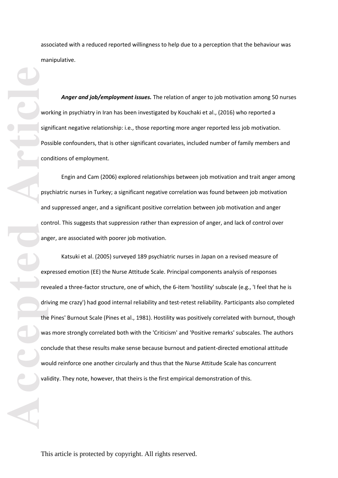associated with a reduced reported willingness to help due to a perception that the behaviour was manipulative.

*Anger and job/employment issues.* The relation of anger to job motivation among 50 nurses working in psychiatry in Iran has been investigated by Kouchaki et al., (2016) who reported a significant negative relationship: i.e., those reporting more anger reported less job motivation. Possible confounders, that is other significant covariates, included number of family members and conditions of employment.

Engin and Cam (20 06) explored relationships between job motivation and trait anger among psychiatric nurses in Turkey; a significant negative correlation was found between job motivation and suppressed anger, and a significant positive correlation between job motivation and anger control. This suggests that suppression rather than expression of anger, and lack of control over anger, are associated with poorer job motivation.

**Accepted Article**<br> **Accepted**<br> **Article**<br> **Article**<br> **Article**<br> **Article**<br> **Article**<br> **Article**<br> **Article**<br> **Article**<br> **Article**<br> **Article**<br> **Article**<br> **Article**<br> **Article**<br> **Article**<br> **Article** Katsuki et al. (2005) surveyed 189 psychiatric nurses in Japan on a revised measure of expressed emotion (EE) the Nurse Attitude Scale. Principal components analysis of responses revealed a three -factor structure, one of which, the 6 -item 'hostility' subscale (e.g., 'I feel that he is driving me crazy') had good internal reliability and test -retest reliability. Participants also completed the Pines' Burnout Scale (Pines et al., 1981). Hostility was positively correlated with burnout, though was more strongly correlated both with the 'Criticism' and 'Positive remarks' subscales. The authors conclude that these results make sense because burnout and patient -directed emotional attitude would reinforce one another circularly and thus that the Nurse Attitude Scale has concurrent validity. They note, however, that theirs is the first empirical demonstration of this.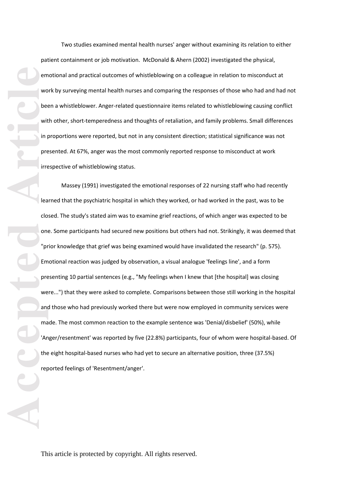Two studies examined mental health nurses' anger without examining its relation to either patient containment or job motivation. McDonald & Ahern (2002) investigated the physical, emotional and practical outcomes of whistleblowing on a colleague in relation to misconduct at work by surveying mental health nurses and comparing the responses of those who had and had not been a whistleblower. Anger -related questionnaire items related to whistleblowing causing conflict with other, short-temperedness and thoughts of retaliation, and family problems. Small differences in proportions were reported, but not in any consistent direction; statistical significance was not presented. At 67%, anger was the most commonly reported response to misconduct at work irrespective of whistleblowing status.

**Accepted Article**<br> **Article**<br> **Article**<br> **Article**<br> **Article**<br> **Article**<br> **Article**<br> **Article**<br> **Article**<br> **Article** Massey (1991) investigated the emotional responses of 22 nursing staff who had recently learned that the psychiatric hospital in which they worked, or had worked in the past, was to be closed. The study's stated aim was to examine grief reactions, of which anger was expected to be one. Some participants had secured new positions but others had not. Strikingly, it was deemed that "prior knowledge that grief was being examined would have invalidated the research" (p. 575). Emotional reaction was judged by observation, a visual analogue 'feelings line', and a form presenting 10 partial sentences (e.g., "My feelings when I knew that [the hospital] was closing were...") that they were asked to complete. Comparisons between those still working in the hospital and those who had previously worked there but were now employed in community services were made. The most common reaction to the example sentence was 'Denial/disbelief' (50%), while 'Anger/resentment' was reported by five (22.8%) participants, four of whom were hospital-based. Of the eight hospital-based nurses who had yet to secure an alternative position, three (37.5%) reported feelings of 'Resentment/anger'.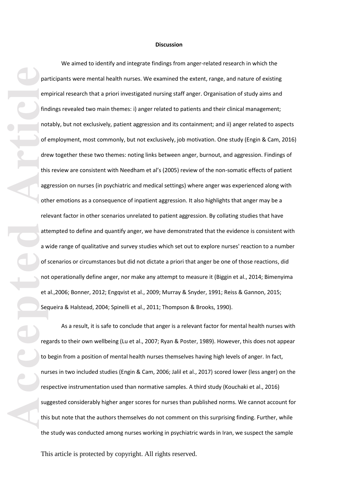### **Discussion**

**Pal**<br> **Article**<br> **Article**<br> **Article**<br> **Article**<br> **Article**<br> **Article**<br> **Article**<br> **Article**<br> **Article**<br> **Article**<br> **Article**<br> **Article**<br> **Article**<br> **Article**<br> **Article**<br> **Article**<br> **Article**<br> **Article**<br> **Article**<br> **Artic** We aimed to identify and integrate findings from anger -related research in which the participants were mental health nurses. We examined the extent, range , and nature of existing empirical research that a priori investigated nursing staff anger. Organisation of study aims and findings revealed two main themes: i) anger related to patients and their clinical management; notably , but not exclusively, patient aggression and its containment; and ii) anger related to aspects of employment, most commonly, but not exclusively, job motivation. One study (Engin & Cam, 2016) drew together these two themes: noting links between anger, burnout, and aggression. Findings of this review are consistent with Needham et al's (2005) review of the non -somatic effects of patient aggression on nurses (in psychiatric and medical settings) where anger was experienced along with other emotions as a consequence of inpatient aggression. It also highlights that anger may be a relevant factor in other scenarios unrelated to patient aggression. By collating studies that have attempted to define and quantify anger, we have demonstrated that the evidence is consistent with a wide range of qualitative and survey studies which set out to explore nurses' reaction to a number of scenarios or circumstances but did not dictate a priori that anger be one of those reactions, did not operationally define anger, nor make any attempt to measure it (Biggin et al., 2014; Bimenyima et al.,2006; Bonner, 2012; Engqvist et al., 2009; Murray & Snyder, 1991; Reiss & Gannon, 2015; Sequeira & Halstead, 2004; Spinelli et al., 2011; Thompson & Brooks, 1990).

As a result, it is safe to conclude that anger is a relevant factor for mental health nurses with regards to their own wellbeing (Lu et al., 2007; Ryan & Poster, 1989). However, this does not appear to begin from a position of mental health nurses themselves having high levels of anger. In fact,<br>nurses in two included studies (Engin & Cam, 2006; Jalil et al., 2017) scored lower (less anger) on the respective instrumentation used than normative samples. A third study (Kouchaki et al., 2016) suggested considerably higher anger scores for nurses than published norms. We cannot account for this but note that the authors themselves do not comment on this surprising finding. Further, while the study was conducted among nurses working in psychiatric wards in Iran, we suspect the sample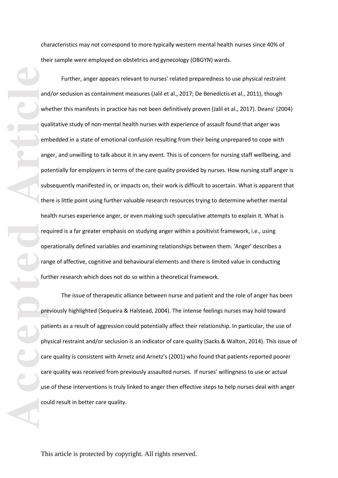characteristics may not correspond to more typically western mental health nurses since 40% of their sample were employed on obstetrics and gynecology (OBGYN) wards.

**Accepted Article**<br> **Article**<br> **Article**<br> **Article**<br> **Article**<br> **Article**<br> **Article**<br> **Article**<br> **Article**<br> **Article**<br> **Article**<br> **Article**<br> **Article**<br> **Article**<br> **Article**<br> **Article**<br> **Article**<br> **Article**<br> **Article**<br> **A** Further, anger appears relevant to nurses' related preparedness to use physical restraint and/or seclusion as containment measures (Jalil et al., 2017; De Benedictis et al., 2011), though whether this manifests in practice has not been definitively proven (Jalil et al., 2017). Deans' (2004) qualitative study of non -mental health nurses with experience of assault found that anger was embedded in a state of emotional confusion resulting from their being unprepared to cope with anger , and unwilling to talk about it in any event. This is of concern for nursing staff wellbeing , and potentially for employers in terms of the care quality provided by nurses. How nursing staff anger is subsequently manifested in, or impacts on, their work is difficult to ascertain. What is apparent that there is little point using further valuable research resources trying to determine whether mental health nurses experience anger, or even making such speculative attempts to explain it. What is required is a far greater emphasis on studying anger within a positivist framework, i.e., using operationally defined variables and examining relationships between them. 'Anger' describes a range of affective, cognitive and behavioural elements and there is limited value in conducting further research which does not do so within a theoretical framework.

The issue of therapeutic alliance between nurse and patient and the role of anger has been previously highlighted (Sequeira & Halstead, 2004). The intense feelings nurses may hold toward patients as a result of aggression could potentially affect their relationship. In particular, the use of physical restraint and/or seclusion is an indicator of care quality (Sacks & Walton, 2014). This issue of care quality is consistent with Arnetz and Arnetz's (2001) who found that patients reported poorer care quality was received from previously assaulted nurses. If nurses' willingness to use or actual use of these interventions is truly linked to anger then effective steps to help nurses deal with anger could result in better care quality.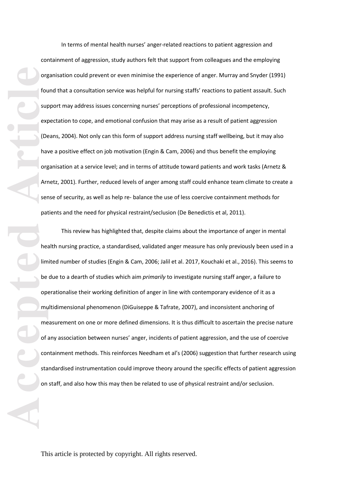In terms of mental health nurses' anger -related reaction s to patient aggression and containment of aggression, study authors felt that support from colleagues and the employing organisation could prevent or even minimise the experience of anger. Murray and Snyder (1991) found that a consultation service was helpful for nursing staffs' reactions to patient assault. Such support may address issues concerning nurses' perceptions of professional incompetency, expectation to cope, and emotional confusion that may arise as a result of patient aggression (Deans, 2004). Not only can this form of support address nursing staff wellbeing, but it may also have a positive effect on job motivation (Engin & Cam, 2006) and thus benefit the employing organisation at a service level; and in terms of attitude toward patients and work tasks (Arnetz & Arnetz, 2001). Further, reduced levels of anger among staff could enhance team climate to create a sense of security, as well as help re - balance the use of less coercive containment methods for patients and the need for physical restraint/seclusion (De Benedictis et al, 2011).

org<br>
fot<br>
sur<br>
exp<br>
exp<br>
article<br>
article<br>
article<br>
article<br>
article<br>
article<br>
article<br>
article<br>
article<br>
article<br>
article<br>
article<br>
article<br>
article<br>
article<br>
article<br>
article<br>
article<br>
article<br>
article<br>
article<br>
article<br> This review has highlighted that, despite claims about the importance of anger in mental health nursing practice, a standardised, validated anger measure has only previously been used in a limited number of studies (Engin & Cam, 2006; Jalil et al. 2017, Kouchaki et al., 2016 ). This seems to be due to a dearth of studies which aim *primarily* to investigate nursing staff anger, a failure to operationalise their working definition of anger in line with contemporary evidence of it as a multidimensional phenomenon (DiGuiseppe & Tafrate, 2007) , and inconsistent anchoring of measurement on one or more defined dimensions . It is thus difficult to ascertain the precise nature of any association between nurses' anger, incidents of patient aggression , and the use of coercive containment methods. This reinforces Needham et al's (2006) suggestion that further research using standardised instrumentation could improve theory around the specific effects of patient aggression on staff, and also how this may then be related to use of physical restraint and/or seclusion.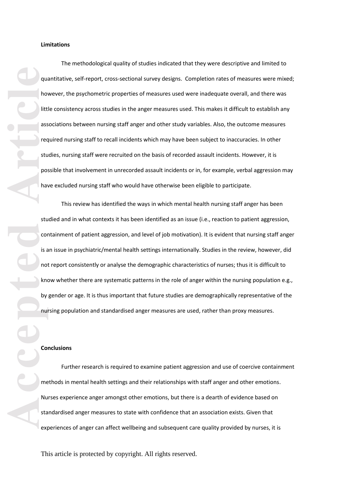The methodological quality of studies indicated that they were descriptive and limited to quantitative, self-report, cross-sectional survey designs. Completion rates of measures were mixed; however, the psychometric properties of measures used were inadequate overall , and there was little consistency across studies in the anger measures used. This makes it difficult to establish any associations between nursing staff anger and other study variables. Also, the outcome measures required nursing staff to recall incidents which may have been subject to inaccuracies. In other studies , nursing staff were recruited on the basis of recorded assault incidents. However, it is possible that involvement in unrecorded assault incidents or in, for example, verbal aggression may have excluded nursing staff who would have otherwise been eligible to participate.

accepted **Article Article Article Article Article Article Article Article Article Article Article Article Article Article Article Article Article Article Article Article Article Ar** This review has identified the ways in which mental health nursing staff anger has been studied and in what contexts it has been identified as an issue (i.e., reaction to patient aggression, containment of patient aggression, and level of job motivation). It is evident that nursing staff anger is an issue in psychiatric/mental health settings internationally. Studies in the review, however, did not report consistently or analyse the demographic characteristics of nurses; thus it is difficult to know whether there are systematic patterns in the role of anger within the nursing population e.g., by gender or age. It is thus important that future studies are demographically representative of the nursing population and standardised anger measures are used, rather than proxy measures.

### **Conclusion s**

Further research is required to examine patient aggression and use of coercive containment methods in mental health settings and their relationships with staff anger and other emotions. Nurses experience anger amongst other emotions, but there is a dearth of evidence based on standardised anger measures to state with confidence that an association exists. Given that experiences of anger can affect wellbeing and subsequent care quality provided by nurses, it is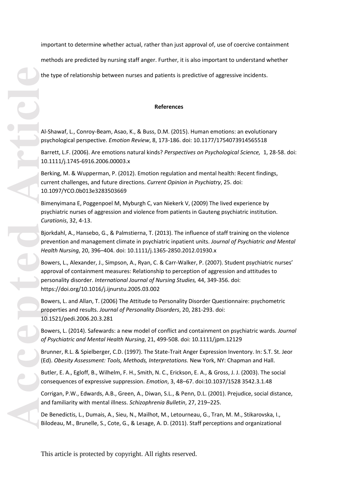important to determine whether actual, rather than just approval of, use of coercive containment

methods are predicted by nursing staff anger. Further, it is also important to understand whether

the type of relationship between nurses and patients is predictive of aggressive incidents.

### **References**

Al -Shawaf, L., Conroy -Beam, Asao, K., & Buss, D.M. (2015). Human emotions: an evolutionary psychological perspective. *Emotion Review*, 8, 173 -186. doi: 10.1177/1754073914565518

Barrett, L.F. (2006). Are emotions natural kinds? *Perspectives on Psychological Science,* 1, 28 -58. doi: 10.1111/j.1745 -6916.2006.00003.x

Berking, M. & Wupperman, P. (2012). Emotion regulation and mental health: Recent findings, current challenges, and future directions. *Current Opinion in Psychiatry*, 25. doi: 10.1097/YCO.0b013e3283503669

Bimenyimana E, Poggenpoel M, Myburgh C, van Niekerk V, (2009) The lived experience by psychiatric nurses of aggression and violence from patients in Gauteng psychiatric institution. *Curationis*, 32, 4 -13.

Bjorkdahl, A., Hansebo, G., & Palmstierna, T. (2013). The influence of staff training on the violence prevention and management climate in psychiatric inpatient units. *Journal of Psychiatric and Mental Health Nursing*, 20, 396 –404. doi: 10.1111/j.1365 -2850.2012.01930.x

Bowers, L., Alexander, J., Simpson, A., Ryan, C. & Carr -Walker, P. (2007). Student psychiatric nurses' approval of containment measures: Relationship to perception of aggression and attitudes to personality disorder. *International Journal of Nursing Studies,* 44, 349 -356. doi: https://doi.org/10.1016/j.ijnurstu.2005.03.002

Bowers, L. and Allan, T. (2006) The Attitude to Personality Disorder Questionnaire: psychometric properties and results. *Journal of Personality Disorders*, 20, 281 -293. doi: 10.1521/pedi.2006.20.3.281

Bowers, L. (2014). Safewards: a new model of conflict and containment on psychiatric wards. *Journal of Psychiatric and Mental Health Nursing*, 21, 499 -508. doi: 10.1111/jpm.12129

Brunner, R.L. & Spielberger, C.D. (1997). The State -Trait Anger Expression Inventory. In: S.T. St. Jeor (Ed). *Obesity Assessment: Tools, Methods, Interpretations.* New York, NY: Chapman and Hall.

Butler, E. A., Egloff, B., Wilhelm, F. H., Smith, N. C., Erickson, E. A., & Gross, J. J. (2003). The social consequences of expressive suppression. *Emotion*, 3, 48 –67. doi:10.1037/1528 3542.3.1.48

Corrigan, P.W., Edwards, A.B., Green, A., Diwan, S.L., & Penn, D.L. (2001). Prejudice, social distance, and familiarity with mental illness. *Schizophrenia Bulletin*, 27, 219 –225.

De Benedictis, L., Dumais, A., Sieu, N., Mailhot, M., Letourneau, G., Tran, M. M., Stikarovska, I., Bilodeau, M., Brunelle, S., Cote, G., & Lesage, A. D. (2011). Staff perceptions and organizational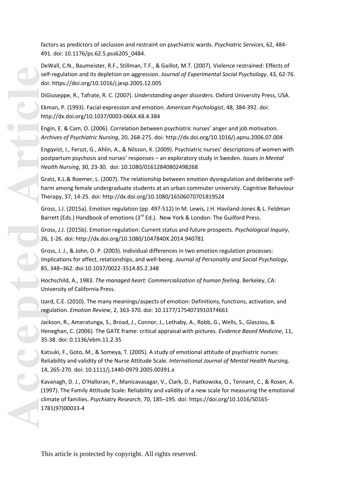factors as predictors of seclusion and restraint on psychiatric wards. *Psychiatric Services*, 62, 484 - 491. doi: 10.1176/ps.62.5.pss6205\_0484.

DeWall, C.N., Baumeister, R.F., Stillman, T.F., & Gaillot, M.T. (2007). Violence restrained: Effects of self -regulation and its depletion on aggression. *Journal of Experimental Social Psychology*, 43, 62 -76. doi: https://doi.org/10.1016/j.jesp.2005.12.005

DiGiuseppe, R., Tafrate, R. C. (2007). *Understanding anger disorders*. Oxford University Press, USA.

Ekman, P. (1993). Facial expression and emotion. *American Psychologist*, 48, 384 -392. doi: http://dx.doi.org/10.1037/0003 -066X.48.4.384

Engin, E. & Cam, O. (2006). Correlation between psychiatric nurses' anger and job motivation. *Archives of Psychiatric Nursing*, 20, 268 -275. doi: http://dx.doi.org/10.1016/j.apnu.2006.07.004

Engqvist, I., Ferszt, G., Ahlin, A., & Nilsson, K. (2009). Psychiatric nurses' descriptions of women with postpartum psychosis and nurses' responses – an exploratory study in Sweden. *Issues in Mental Health Nursing*, 30, 23 -30. doi: 10.1080/01612840802498268

Gratz, K.L.& Roemer, L. (2007). The relationship between emotion dysregulation and deliberate self harm among female undergraduate students at an urban commuter university. Cognitive Behaviour Therapy, 37, 14 -25. doi: http://dx.doi.org/10.1080/16506070701819524

Gross, J.J. (2015a). Emotion regulation (pp. 497-512) In M. Lewis, J.H. Haviland-Jones & L. Feldman Barrett (Eds.) Handbook of emotions (3<sup>rd</sup> Ed.). New York & London: The Guilford Press.

Gross, J.J. (2015b). Emotion regulation: Current status and future prospects. *Psychological Inquiry*, 26, 1 -26. doi: http://dx.doi.org/10.1080/1047840X.2014.940781

Gross, J. J., & John, O. P. (2003). Individual differences in two emotion regulation processes: Implications for affect, relationships, and well -being. *Journal of Personality and Social Psychology*, 85, 348 –362. doi:10.1037/0022 -3514.85.2.348

Hochschild, A., 1983. *The managed heart: Commercialization of human feeling*. Berkeley, CA: University of California Press.

Izard, C.E. (2010). The many meanings/aspects of emotion: Definitions, functions, activation, and regulation. *Emotion Review*, 2, 363 -370. doi: 10.1177/1754073910374661

Jack son, R., Ameratunga, S., Broad, J., Connor, J., Lethaby, A., Robb, G., Wells, S., Glasziou, & Heneghan, C. (2006). The GATE frame: critical appraisal with pictures*. Evidence Based Medicine*, 11, 35 -38. doi: 0.1136/ebm.11.2.35

Katsuki, F., Goto, M., & Someya, T. (2005). A study of emotional attitude of psychiatric nurses: Reliability and validity of the Nurse Attitude Scale. *International Journal of Mental Health Nursing,*  14, 265 -270. doi: 10.1111/j.1440 -0979.2005.00391.x

Kavanagh, D. J., O'Halloran, P., Manicavasagar, V., Clark, D., Piatkowska, O., Tennant, C., & Rosen, A. (1997). The Family Attitude Scale: Reliability and validity of a new scale for measuring the emotional climate of families. *Psychiatry Research*, 70, 185 –195. doi: https://doi.org/10.1016/S0165 - 1781(97)00033 - 4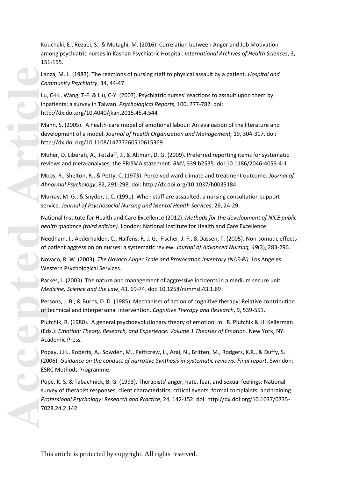Kouchaki, E., Rezaei, S., & Motaghi, M. (2016). Correlation between Anger and Job Motivation among psychiatric nurses in Kashan Psychiatric Hospital. *International Archives of Health Sciences*, 3, 151 -155.

Lanza, M. L. (1983). The reactions of nursing staff to physical assault by a patient. *Hospital and Community Psychiatry*, 34, 44 -47.

Lu, C-H., Wang, T-F. & Liu, C-Y. (2007). Psychiatric nurses' reactions to assault upon them by inpatients: a survey in Taiwan. *Psychological Reports*, 100, 777 -782. doi: http://dx.doi.org/10.4040/jkan.2015.45.4.544

Mann, S. (2005). A health-care model of emotional labour: An evaluation of the literature and development of a model. *Journal of Health Organization and Management,* 19, 304 -317. doi: http://dx.doi.org/10.1108/14777260510615369

Moher, D. Liberati, A., Tetzlaff, J., & Altman, D. G. (2009). Preferred reporting items for systematic reviews and meta-analyses: the PRISMA statement. BMJ, 339:b2535. doi:10.1186/2046-4053-4-1

Moos, R., Shelton, R., & Petty, C. (1973). Perceived ward climate and treatment outcome. *Journal of Abnormal Psychology*, 82, 291 -298. doi: http://dx.doi.org/10.1037/h0035184

Murray, M. G., & Snyder, J. C. (1991). When staff are assaulted: a nursing consultation support service. *Journal of Psychosocial Nursing and Mental Health Services*, 29, 24 -29.

National Institute for Health and Care Excellence (2012). *Methods for the development of NICE public health guidance (third edition).* London: National Institute for Health and Care Excellence

Needham, I., Abderhalden, C., Halfens, R. J. G., Fischer, J. F., & Dassen, T. (2005). Non -somatic effects of patient aggression on nurses: a systematic review. *Journal of Advanced Nursing, 49*(3), 283 -296.

Novaco, R. W. (2003). *The Novaco Anger Scale and Provocation Inventory (NAS -PI)*. Los Angeles: Western Psychological Services.

Parkes, J. (2003). The nature and management of aggressive incidents in a medium secure unit. *Medicine, Science and the Law*, 43, 69 -74. doi: 10.1258/rsmmsl.43.1.69

Persons, J. B., & Burns, D. D. (1985). Mechanism of action of cognitive therapy: Relative contribution of technical and interpersonal intervention. *Cognitive Therapy and Research*, 9, 539 -551.

Plutchik, R. (1980). A general psychoevolutionary theory of emotion. In: R. Plutchik & H. Kellerman (Eds.): *Emotion: Theory, Research, and Experience: Volume 1 Theories of Emotion.* New York, NY: Academic Press.

Popay, J.H., Roberts, A., Sowden, M., Petticrew, L., Arai, N., Britten, M., Rodgers, K.R., & Duffy, S. (2006). *Guidance on the conduct of narrative Synthesis in systematic reviews: Final report*. Swindon: ESRC Methods Programme.

Pope, K. S. & Tabachnick, B. G. (1993). Therapists' anger, hate, fear, and sexual feelings: National survey of therapist responses, client characteristics, critical events, formal complaints, and training. *Professional Psychology: Research and Practice*, 24, 142 -152. doi: http://dx.doi.org/10.1037/0735 - 7028.24.2.142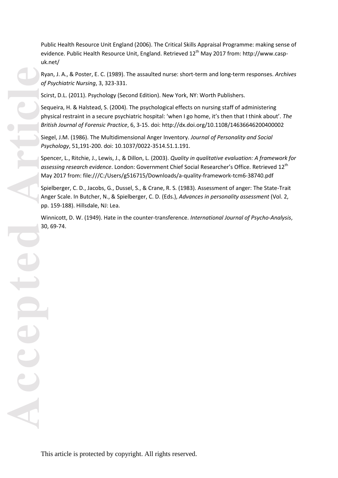Ryan, J. A., & Poster, E. C. (1989). The assaulted nurse: short -term and long -term responses. *Archives of Psychiatric Nursing*, 3, 323 -331.

Scirst, D.L. (2011). Psychology (Second Edition). New York, NY: Worth Publishers .

Sequeira, H. & Halstead, S. (2004). The psychological effects on nursing staff of administering physical restraint in a secure psychiatric hospital: 'when I go home, it's then that I think about'. *The British Journal of Forensic Practice*, 6, 3 -15. doi: http://dx.doi.org/10.1108/14636646200400002

Siegel, J.M. (1986). The Multidimensional Anger Inventory. *Journal of Personality and Social Psychology*, 51,191 -200. doi: 10.1037/0022 -3514.51.1.191.

Spencer, L., Ritchie, J., Lewis, J., & Dillon, L. (2003). *Quality in qualitative evaluation: A framework for assessing research evidence*. London: Government Chief Social Researcher's Office. Retrieved 12th May 2017 from: file:///C:/Users/g516715/Downloads/a -quality -framework -tcm6 -38740.pdf

Spielberger, C. D., Jacobs, G., Dussel, S., & Crane, R. S. (1983). Assessment of anger: The State-Trait Anger Scale. In Butcher, N., & Spielberger, C. D. (Eds.), *Advances in personality assessment* (Vol. 2, pp. 159 -188). Hillsdale, NJ: Lea.

Winnicott, D. W. (1949). Hate in the counter -transference. *International Journal of Psycho -Analysis*, 30, 69 -74.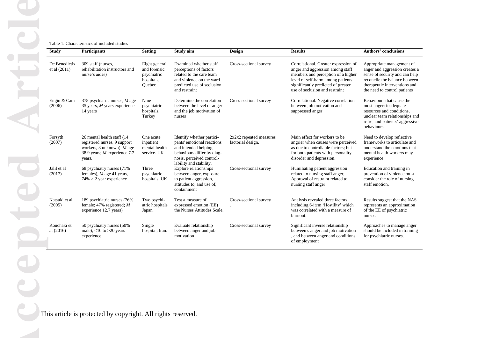### Table 1: Characteristics of included studies

| <b>Study</b>                    | <b>Participants</b>                                                                                                                     | <b>Setting</b>                                                       | Study aim                                                                                                                                                             | <b>Design</b>                                | <b>Results</b>                                                                                                                                                                                                              | <b>Authors' conclusions</b>                                                                                                                                                                     |
|---------------------------------|-----------------------------------------------------------------------------------------------------------------------------------------|----------------------------------------------------------------------|-----------------------------------------------------------------------------------------------------------------------------------------------------------------------|----------------------------------------------|-----------------------------------------------------------------------------------------------------------------------------------------------------------------------------------------------------------------------------|-------------------------------------------------------------------------------------------------------------------------------------------------------------------------------------------------|
| De Benedictis<br>et al $(2011)$ | 309 staff (nurses,<br>rehabilitation instructors and<br>nurse's aides)                                                                  | Eight general<br>and forensic<br>psychiatric<br>hospitals,<br>Quebec | Examined whether staff<br>perceptions of factors<br>related to the care team<br>and violence on the ward<br>predicted use of seclusion<br>and restraint               | Cross-sectional survey                       | Correlational. Greater expression of<br>anger and aggression among staff<br>members and perception of a higher<br>level of self-harm among patients<br>significantly predicted of greater<br>use of seclusion and restraint | Appropriate management of<br>anger and aggression creates a<br>sense of security and can help<br>reconcile the balance between<br>therapeutic interventions and<br>the need to control patients |
| Engin & Cam<br>(2006)           | 378 psychiatric nurses, $M$ age<br>35 years, M years experience<br>14 years                                                             | Nine<br>psychiatric<br>hospitals,<br>Turkey                          | Determine the correlation<br>between the level of anger<br>and the job motivation of<br>nurses                                                                        | Cross-sectional survey                       | Correlational. Negative correlation<br>between job motivation and<br>suppressed anger                                                                                                                                       | Behaviours that cause the<br>most anger: inadequate<br>resources and conditions.<br>unclear team relationships and<br>roles, and patients' aggressive<br>behaviours                             |
| Forsyth<br>(2007)               | 26 mental health staff (14)<br>registered nurses, 9 support<br>workers, $3$ unknown). M age<br>38.9 years; $M$ experience 7.7<br>years. | One acute<br>inpatient<br>mental health<br>service. UK               | Identify whether partici-<br>pants' emotional reactions<br>and intended helping<br>behaviours differ by diag-<br>nosis, perceived control-<br>lability and stability. | 2x2x2 repeated measures<br>factorial design. | Main effect for workers to be.<br>angrier when causes were perceived<br>as due to controllable factors; but<br>for both patients with personality<br>disorder and depression.                                               | Need to develop reflective<br>frameworks to articulate and<br>understand the emotions that<br>mental health workers may<br>experience                                                           |
| Jalil et al<br>(2017)           | 68 psychiatry nurses (71%)<br>females), $M$ age 41 years,<br>$74\% > 2$ year experience                                                 | Three<br>psychiatric<br>hospitals, UK                                | Explore relationships<br>between anger, exposure<br>to patient aggression,<br>attitudes to, and use of,<br>containment                                                | Cross-sectional survey                       | Humiliating patient aggression<br>related to nursing staff anger,<br>Approval of restraint related to<br>nursing staff anger                                                                                                | Education and training in<br>prevention of violence must<br>consider the role of nursing<br>staff emotion.                                                                                      |
| Katsuki et al<br>(2005)         | 189 psychiatric nurses (76%)<br>female; 47% registered; $M$<br>experience 12.7 years)                                                   | Two psychi-<br>atric hospitals<br>Japan.                             | Test a measure of<br>expressed emotion (EE)<br>the Nurses Attitudes Scale.                                                                                            | Cross-sectional survey                       | Analysis revealed three factors<br>including 6-item 'Hostility' which<br>was correlated with a measure of<br>burnout.                                                                                                       | Results suggest that the NAS<br>represents an approximation<br>of the EE of psychiatric<br>nurses.                                                                                              |
| Kouchaki et<br>al (2016)        | 50 psychiatry nurses (50%)<br>male); $<$ 10 to >20 years<br>experience.                                                                 | Single<br>hospital, Iran.                                            | Evaluate relationship<br>between anger and job<br>motivation                                                                                                          | Cross-sectional survey                       | Significant inverse relationship<br>between s anger and job motivation<br>, and between anger and conditions<br>of employment                                                                                               | Approaches to manage anger<br>should be included in training<br>for psychiatric nurses.                                                                                                         |

This article is protected by copyright. All rights reserved.

**Accepted Article** H pte  $\epsilon$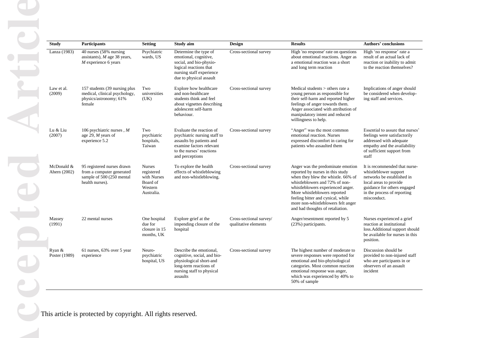| <b>Study</b>               | <b>Participants</b>                                                                                     | <b>Setting</b><br>Study aim                                                     |                                                                                                                                                                 | <b>Design</b>                                   | <b>Results</b>                                                                                                                                                                                                                                                                                                                    | <b>Authors' conclusions</b>                                                                                                                                                                 |  |  |
|----------------------------|---------------------------------------------------------------------------------------------------------|---------------------------------------------------------------------------------|-----------------------------------------------------------------------------------------------------------------------------------------------------------------|-------------------------------------------------|-----------------------------------------------------------------------------------------------------------------------------------------------------------------------------------------------------------------------------------------------------------------------------------------------------------------------------------|---------------------------------------------------------------------------------------------------------------------------------------------------------------------------------------------|--|--|
| Lanza (1983)               | 40 nurses (58% nursing<br>assistants), $M$ age 38 years,<br>$M$ experience 6 years                      | Psychiatric<br>wards, US                                                        | Determine the type of<br>emotional, cognitive,<br>social, and bio-physio-<br>logical reactions that<br>nursing staff experience<br>due to physical assault      | Cross-sectional survey                          | High 'no response' rate on questions<br>about emotional reactions. Anger as<br>a emotional reaction was a short<br>and long term reaction                                                                                                                                                                                         | High 'no response' rate a<br>result of an actual lack of<br>reaction or inability to admit<br>to the reaction themselves?                                                                   |  |  |
| Law et al.<br>(2009)       | 157 students (39 nursing plus<br>medical, clinical psychology,<br>physics/astronomy; 61%<br>female      | Two<br>universities<br>(UK)                                                     | Explore how healthcare<br>and non-healthcare<br>students think and feel<br>about vignettes describing<br>adolescent self-harm<br>behaviour.                     | Cross-sectional survey                          | Medical students $>$ others rate a<br>young person as responsible for<br>their self-harm and reported higher<br>feelings of anger towards them.<br>Anger associated with attribution of<br>manipulatory intent and reduced<br>willingness to help.                                                                                | Implications of anger should<br>be considered when develop-<br>ing staff and services.                                                                                                      |  |  |
| Lu & Liu<br>(2007)         | 106 psychiatric nurses, $M$<br>age 29, $M$ years of<br>experience 5.2                                   | Two<br>psychiatric<br>hospitals,<br>Taiwan                                      | Evaluate the reaction of<br>psychiatric nursing staff to<br>assaults by patients and<br>examine factors relevant<br>to the nurses' reactions<br>and perceptions | Cross-sectional survey                          | "Anger" was the most common<br>emotional reaction. Nurses<br>expressed discomfort in caring for<br>patients who assaulted them                                                                                                                                                                                                    | Essential to assure that nurses'<br>feelings were satisfactorily<br>addressed with adequate<br>empathy and the availability<br>of sufficient support from<br>staff                          |  |  |
| McDonald &<br>Ahern (2002) | 95 registered nurses drawn<br>from a computer generated<br>sample of 500 (250 mental<br>health nurses). | <b>Nurses</b><br>registered<br>with Nurses<br>Board of<br>Western<br>Australia. | To explore the health<br>effects of whistleblowing<br>and non-whistleblowing.                                                                                   | Cross-sectional survey                          | Anger was the predominate emotion<br>reported by nurses in this study<br>when they blew the whistle. 66% of<br>whistleblowers and 72% of non-<br>whistleblowers experienced anger.<br>More whistleblowers reported<br>feeling bitter and cynical, while<br>more non-whistleblowers felt anger<br>and had thoughts of retaliation. | It is recommended that nurse-<br>whistleblower support<br>networks be established in<br>local areas to provide<br>guidance for others engaged<br>in the process of reporting<br>misconduct. |  |  |
| Massey<br>(1991)           | 22 mental nurses                                                                                        | One hospital<br>due for<br>closure in 15<br>months, UK                          | Explore grief at the<br>impending closure of the<br>hospital                                                                                                    | Cross-sectional survey/<br>qualitative elements | Anger/resentment reported by 5<br>(23%) participants.                                                                                                                                                                                                                                                                             | Nurses experienced a grief<br>reaction at institutional<br>loss. Additional support should<br>be available for nurses in this<br>position.                                                  |  |  |
| Ryan &<br>Poster (1989)    | 61 nurses, 63% over 5 year<br>experience                                                                | Neuro-<br>psychiatric<br>hospital, US                                           | Describe the emotional,<br>cognitive, social, and bio-<br>physiological short-and<br>long-term reactions of<br>nursing staff to physical<br>assaults            | Cross-sectional survey                          | The highest number of moderate to<br>severe responses were reported for<br>emotional and bio-phyisological<br>categories. Most common reaction<br>emotional response was anger,<br>which was experienced by 40% to<br>50% of sample                                                                                               | Discussion should be<br>provided to non-injured staff<br>who are participants in or<br>observers of an assault<br>incident                                                                  |  |  |

This article is protected by copyright. All rights reserved.

**Accepted Article**  $\overline{c}$ epter D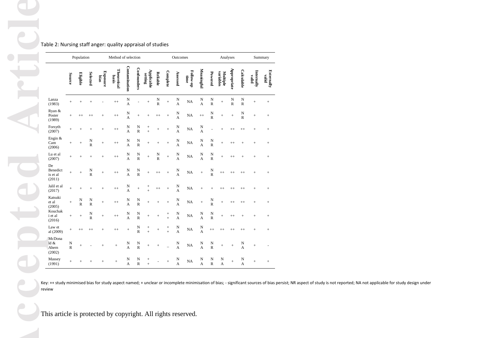Table 2: Nursing staff anger: quality appraisal of studies

|                                      |                                        | Population        |                              |                  | Method of selection  |                               |                                        |                       |                             |                          | Outcomes                      |                   |                               |                               | Analyses                        |                             |                               |                     | Summary                    |
|--------------------------------------|----------------------------------------|-------------------|------------------------------|------------------|----------------------|-------------------------------|----------------------------------------|-----------------------|-----------------------------|--------------------------|-------------------------------|-------------------|-------------------------------|-------------------------------|---------------------------------|-----------------------------|-------------------------------|---------------------|----------------------------|
|                                      | Source                                 | Eligible          | <b>Selected</b>              | Exposure<br>bias | Theoretical<br>basis | Contamination                 | <b>Confounders</b>                     | Applicable<br>setting | <b>Reliable</b>             | Complete                 | Assessed                      | Follow-up<br>time | Meaningful                    | Powered                       | variables<br>Multiple           | Appropriate                 | Calculable                    | Internally<br>valid | <b>Externally</b><br>valid |
| Lanza<br>(1983)                      | $\ddot{}$                              | $^{+}$            | $\overline{+}$               |                  | $^{++}$              | ${\bf N}$<br>A                |                                        | $^{+}$                | $\frac{\text{N}}{\text{R}}$ | $^{+}$                   | N<br>$\overline{A}$           | NA                | $\mathbf N$<br>$\overline{A}$ | N<br>$\overline{\mathsf{R}}$  | $^{+}$                          | ${\bf N}$<br>$\overline{R}$ | N<br>$\mathbb{R}$             | $^{+}$              | $\! + \!$                  |
| Ryan &<br>Poster<br>(1989)           | $+$                                    | $^{++}$           | $^{++}$                      | $^{+}$           | $^{++}$              | N<br>A                        | $^{+}$                                 | $\ddot{}$             | $^{++}$                     | $^{+}$                   | N<br>$\overline{A}$           | <b>NA</b>         | $^{++}$                       | $\frac{N}{R}$                 | $^{+}$                          | $^{+}$                      | N<br>$\overline{\mathsf{R}}$  | $^{+}$              | $\! + \!$                  |
| Forsyth<br>(2007)                    | $^{+}$                                 | $^{+}$            | $^{+}$                       | $\ddot{}$        | $^{++}$              | $\mathbf N$<br>A              | $\mathbf N$<br>$\overline{\mathsf{R}}$ | $^{+}$<br>$\ddot{}$   | $^{+}$                      | $\ddot{}$                | N<br>A                        | NA                | $\mathbf N$<br>$\overline{A}$ |                               | $\ddot{}$                       | $^{++}$                     | $^{++}$                       | $^{+}$              | $\! +$                     |
| Engin &<br>Cam<br>(2006)             | $\ddot{}$                              | $^{+}$            | N<br>$\overline{\mathsf{R}}$ | $^{+}$           | $^{++}$              | $\mathbf N$<br>$\overline{A}$ | $\mathbf N$<br>$\overline{R}$          | $^{+}$                | $^{+}$                      | $^{+}$                   | N<br>$\overline{A}$           | <b>NA</b>         | $\mathbf N$<br>$\overline{A}$ | $\mathbf N$<br>$\overline{R}$ | $^{+}$                          | $^{++}$                     | $^{+}$                        | $^{+}$              | $\! + \!$                  |
| Lu et al<br>(2007)                   | $^{+}$                                 | $^{+}$            | $\ddot{}$                    | $\ddot{}$        | $^{++}$              | $\mathbf N$<br>A              | ${\bf N}$<br>$\overline{R}$            | $^{+}$                | N<br>$\overline{R}$         | $\ddot{}$                | N<br>$\overline{A}$           | NA                | $\mathbf N$<br>$\overline{A}$ | N<br>$\overline{R}$           | $^{+}$                          | $^{++}$                     | $^{+}$                        | $^{+}$              | $\! +$                     |
| De<br>Benedict<br>is et al<br>(2011) | $^{+}$                                 | $\ddot{}$         | $\frac{N}{R}$                | $^{+}$           | $^{++}$              | $\mathbf N$<br>A              | ${\bf N}$<br>$\overline{\mathsf{R}}$   | $^{+}$                | $^{++}$                     | $^{+}$                   | N<br>$\overline{A}$           | <b>NA</b>         | $^{+}$                        | N<br>R                        | $^{++}$                         | $^{++}$                     | $^{++}$                       | $^{+}$              | $\! + \!$                  |
| Jalil et al<br>(2017)                | $\ddot{}$                              | $\ddot{}$         | $^{+}$                       | $^{+}$           | $^{++}$              | $\mathbf N$<br>$\overline{A}$ | $^{+}$                                 |                       | $^{++}$                     | $^{+}$                   | N<br>$\overline{A}$           | NA                | $^{+}$                        | $^{+}$                        | $^{++}$                         | $^{++}$                     | $^{++}$                       | $^{+}$              | $\! +$                     |
| Katsuki<br>et al<br>(2005)           | $+$                                    | N<br>$\mathbb{R}$ | N<br>$\mathbb{R}$            | $^{+}$           | $^{++}$              | N<br>$\overline{A}$           | N<br>$\overline{R}$                    | $\ddot{}$             | $^{+}$                      | $^{+}$                   | N<br>A                        | <b>NA</b>         | $^{+}$                        | $\frac{\text{N}}{\text{R}}$   | $^{+}$                          | $^{++}$                     | $^{++}$                       | $^{+}$              | $\! + \!$                  |
| Kouchak<br>i et al<br>(2016)         |                                        | $^{+}$            | N<br>$\overline{\mathsf{R}}$ | $^{+}$           | $^{++}$              | N<br>$\overline{A}$           | N<br>$\overline{R}$                    | $^{+}$                | $^{+}$                      | $^{+}$<br>$\ddot{}$      | N<br>$\overline{A}$           | <b>NA</b>         | N<br>$\overline{A}$           | N<br>$\overline{R}$           | $^{+}$                          | $^{++}$                     | $^{+}$                        | $^{+}$              | $\! + \!$                  |
| Law et<br>al (2009)                  | $^{+}$                                 | $+ +$             | $^{++}$                      | $^{+}$           | $^{++}$              | $^{+}$                        | $\mathbf N$<br>$\overline{\mathsf{R}}$ | $^{+}$<br>$\ddot{}$   | $^{+}$                      | $^{+}$<br>$\overline{+}$ | $\mathbf N$<br>$\overline{A}$ | <b>NA</b>         | N<br>$\overline{A}$           | $^{++}$                       | $^{++}$                         | $^{++}$                     | $^{++}$                       | $^{+}$              | $^{+}$                     |
| McDona<br>ld &<br>Ahern<br>(2002)    | $\mathbf N$<br>$\overline{\mathsf{R}}$ | $^{+}$            |                              | $^{+}$           | $^{+}$               | N<br>$\overline{A}$           | N<br>$\overline{R}$                    | $^{+}$                | $^{+}$                      |                          | N<br>$\overline{A}$           | NA                | N<br>$\overline{A}$           | N<br>$\overline{R}$           | $^{+}$                          | $^{+}$                      | N<br>$\overline{A}$           | $^{+}$              |                            |
| Massey<br>(1991)                     | $^{+}$                                 | $^+$              | $^{+}$                       | $^{+}$           | $^{+}$               | N<br>$\overline{A}$           | N<br>$\overline{R}$                    | $\, +$<br>$\ddot{}$   |                             | $^{+}$                   | $\mathbf N$<br>$\overline{A}$ | <b>NA</b>         | N<br>$\overline{A}$           | N<br>$\overline{R}$           | $\mathbf N$<br>$\boldsymbol{A}$ | $\ddot{}$                   | $\mathbf N$<br>$\overline{A}$ | $^{+}$              | $^{+}$                     |

Key: ++ study minimised bias for study aspect named; + unclear or incomplete minimisation of bias; - significant sources of bias persist; NR aspect of study is not reported; NA not applicable for study design under review

This article is protected by copyright. All rights reserved.

**Accepted Article** H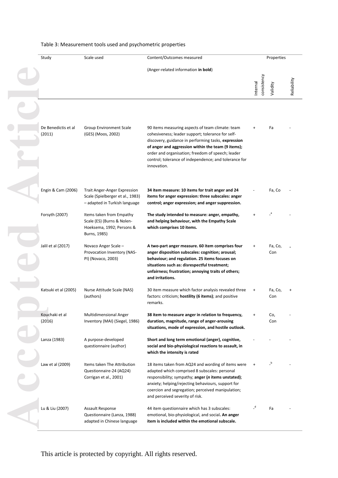| Study                         | Scale used                                                                                               | Content/Outcomes measured                                                                                                                                                                                                                                                                                                                       | Properties              |                |             |
|-------------------------------|----------------------------------------------------------------------------------------------------------|-------------------------------------------------------------------------------------------------------------------------------------------------------------------------------------------------------------------------------------------------------------------------------------------------------------------------------------------------|-------------------------|----------------|-------------|
|                               |                                                                                                          | (Anger-related information in bold)                                                                                                                                                                                                                                                                                                             |                         |                |             |
|                               |                                                                                                          |                                                                                                                                                                                                                                                                                                                                                 | consistency<br>Internal | Validity       | Reliability |
|                               |                                                                                                          |                                                                                                                                                                                                                                                                                                                                                 |                         |                |             |
| De Benedictis et al<br>(2011) | Group Environment Scale<br>(GES) (Moos, 2002)                                                            | 90 items measuring aspects of team climate: team<br>cohesiveness; leader support; tolerance for self-<br>discovery, guidance in performing tasks, expression<br>of anger and aggression within the team (9 items);<br>order and organisation; freedom of speech; leader<br>control; tolerance of independence; and tolerance for<br>innovation. |                         | Fa             |             |
| Engin & Cam (2006)            | <b>Trait Anger-Anger Expression</b><br>Scale (Spielberger et al., 1983)<br>- adapted in Turkish language | 34 item measure: 10 items for trait anger and 24<br>items for anger expression: three subscales: anger<br>control; anger expression; and anger suppression.                                                                                                                                                                                     |                         | Fa, Co         |             |
| Forsyth (2007)                | Items taken from Empathy<br>Scale (ES) (Burns & Nolen-<br>Hoeksema, 1992; Persons &<br>Burns, 1985)      | The study intended to measure: anger, empathy,<br>and helping behaviour, with the Empathy Scale<br>which comprises 10 items.                                                                                                                                                                                                                    |                         |                |             |
| Jalil et al (2017)            | Novaco Anger Scale -<br>Provocation Inventory (NAS-<br>PI) (Novaco, 2003)                                | A two-part anger measure. 60 item comprises four<br>anger disposition subscales: cognition; arousal;<br>behaviour; and regulation. 25 items focuses on<br>situations such as: disrespectful treatment;<br>unfairness; frustration; annoying traits of others;<br>and irritations.                                                               |                         | Fa, Co,<br>Con |             |
| Katsuki et al (2005)          | Nurse Attitude Scale (NAS)<br>(authors)                                                                  | 30 item measure which factor analysis revealed three<br>factors: criticism; hostility (6 items); and positive<br>remarks.                                                                                                                                                                                                                       | $\ddot{}$               | Fa, Co,<br>Con |             |
| Kouchaki et al<br>(2016)      | <b>Multidimensional Anger</b><br>Inventory (MAI) (Siegel, 1986)                                          | 38 item to measure anger in relation to frequency,<br>duration, magnitude, range of anger-arousing<br>situations, mode of expression, and hostile outlook.                                                                                                                                                                                      |                         | Co,<br>Con     |             |
| Lanza (1983)                  | A purpose-developed<br>questionnaire (author)                                                            | Short and long term emotional (anger), cognitive,<br>social and bio-physiological reactions to assault, in<br>which the intensity is rated                                                                                                                                                                                                      |                         |                |             |
| Law et al (2009)              | Items taken The Attribution<br>Questionnaire-24 (AQ24)<br>Corrigan et al., 2001)                         | 18 items taken from AQ24 and wording of items were<br>adapted which comprised 8 subscales: personal<br>responsibility; sympathy; anger (n items unstated);<br>anxiety; helping/rejecting behaviours, support for<br>coercion and segregation; perceived manipulation;<br>and perceived severity of risk.                                        |                         |                |             |
| Lu & Liu (2007)               | Assault Response<br>Questionnaire (Lanza, 1988)<br>adapted in Chinese language                           | 44 item questionnaire which has 3 subscales:<br>emotional, bio-physiological, and social. An anger<br>item is included within the emotional subscale.                                                                                                                                                                                           | $\overline{a}$          | Fa             |             |

# Table 3: Measurement tools used and psychometric properties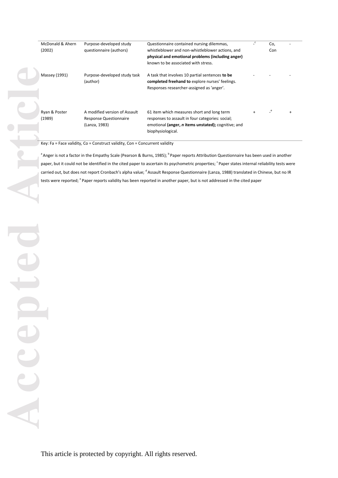| McDonald & Ahern        | Purpose-developed study                                        | Questionnaire contained nursing dilemmas,                                                                                                       | $\mathsf{C}$ | Co, |  |
|-------------------------|----------------------------------------------------------------|-------------------------------------------------------------------------------------------------------------------------------------------------|--------------|-----|--|
| (2002)                  | questionnaire (authors)                                        | whistleblower and non-whistleblower actions, and                                                                                                |              | Con |  |
|                         |                                                                | physical and emotional problems (including anger)                                                                                               |              |     |  |
|                         |                                                                | known to be associated with stress.                                                                                                             |              |     |  |
| Massey (1991)           | Purpose-developed study task<br>(author)                       | A task that involves 10 partial sentences to be<br>completed freehand to explore nurses' feelings.<br>Responses researcher-assigned as 'anger'. |              |     |  |
| Ryan & Poster<br>(1989) | A modified version of Assault<br><b>Response Questionnaire</b> | 61 item which measures short and long term<br>responses to assault in four categories: social;                                                  | $\ddot{}$    |     |  |
|                         | (Lanza, 1983)                                                  | emotional (anger, <i>n</i> items unstated); cognitive; and<br>biophysiological.                                                                 |              |     |  |

Key: Fa = Face validity, Co = Construct validity, Con = Concurrent validity

<sup>a</sup> Anger is not a factor in the Empathy Scale (Pearson & Burns, 1985); <sup>b</sup> Paper reports Attribution Questionnaire has been used in another paper, but it could not be identified in the cited paper to ascertain its psychometric properties; <sup>c</sup> Paper states internal reliability tests were carried out, but does not report Cronbach's alpha value; <sup>d</sup>Assault Response Questionnaire (Lanza, 1988) translated in Chinese, but no IR tests were reported; <sup>e</sup> Paper reports validity has been reported in another paper, but is not addressed in the cited paper